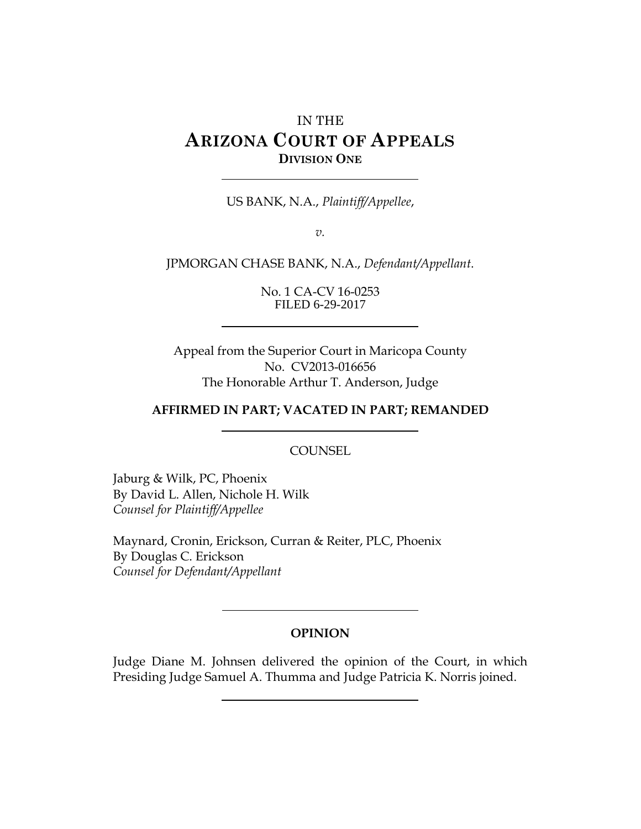# IN THE **ARIZONA COURT OF APPEALS DIVISION ONE**

US BANK, N.A., *Plaintiff/Appellee*,

*v.*

JPMORGAN CHASE BANK, N.A., *Defendant/Appellant*.

No. 1 CA-CV 16-0253 FILED 6-29-2017

Appeal from the Superior Court in Maricopa County No. CV2013-016656 The Honorable Arthur T. Anderson, Judge

#### **AFFIRMED IN PART; VACATED IN PART; REMANDED**

COUNSEL

Jaburg & Wilk, PC, Phoenix By David L. Allen, Nichole H. Wilk *Counsel for Plaintiff/Appellee*

Maynard, Cronin, Erickson, Curran & Reiter, PLC, Phoenix By Douglas C. Erickson *Counsel for Defendant/Appellant*

#### **OPINION**

Judge Diane M. Johnsen delivered the opinion of the Court, in which Presiding Judge Samuel A. Thumma and Judge Patricia K. Norris joined.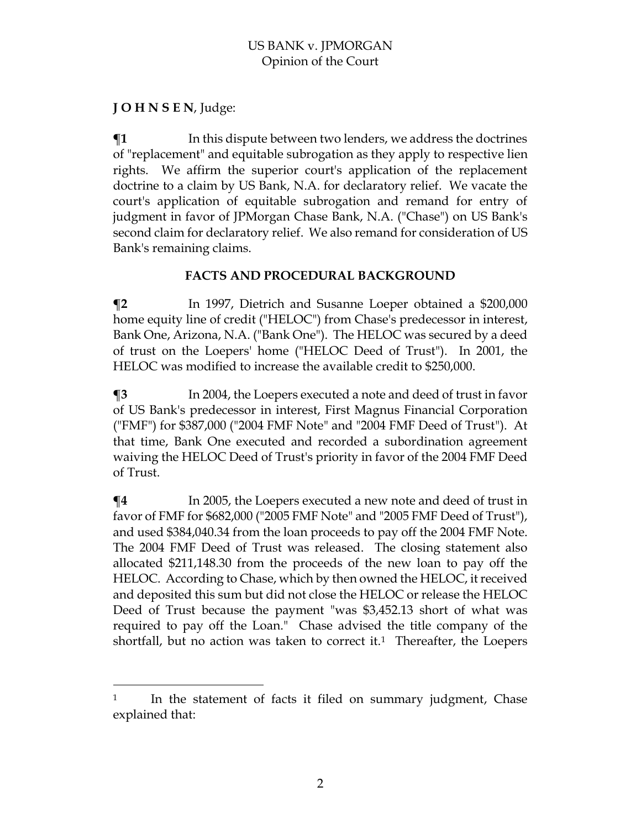## **J O H N S E N**, Judge:

 $\overline{a}$ 

 $\P$ **1** In this dispute between two lenders, we address the doctrines of "replacement" and equitable subrogation as they apply to respective lien rights. We affirm the superior court's application of the replacement doctrine to a claim by US Bank, N.A. for declaratory relief. We vacate the court's application of equitable subrogation and remand for entry of judgment in favor of JPMorgan Chase Bank, N.A. ("Chase") on US Bank's second claim for declaratory relief. We also remand for consideration of US Bank's remaining claims.

## **FACTS AND PROCEDURAL BACKGROUND**

**¶2** In 1997, Dietrich and Susanne Loeper obtained a \$200,000 home equity line of credit ("HELOC") from Chase's predecessor in interest, Bank One, Arizona, N.A. ("Bank One"). The HELOC was secured by a deed of trust on the Loepers' home ("HELOC Deed of Trust"). In 2001, the HELOC was modified to increase the available credit to \$250,000.

**¶3** In 2004, the Loepers executed a note and deed of trust in favor of US Bank's predecessor in interest, First Magnus Financial Corporation ("FMF") for \$387,000 ("2004 FMF Note" and "2004 FMF Deed of Trust"). At that time, Bank One executed and recorded a subordination agreement waiving the HELOC Deed of Trust's priority in favor of the 2004 FMF Deed of Trust.

 $\P$ **4** In 2005, the Loepers executed a new note and deed of trust in favor of FMF for \$682,000 ("2005 FMF Note" and "2005 FMF Deed of Trust"), and used \$384,040.34 from the loan proceeds to pay off the 2004 FMF Note. The 2004 FMF Deed of Trust was released. The closing statement also allocated \$211,148.30 from the proceeds of the new loan to pay off the HELOC. According to Chase, which by then owned the HELOC, it received and deposited this sum but did not close the HELOC or release the HELOC Deed of Trust because the payment "was \$3,452.13 short of what was required to pay off the Loan." Chase advised the title company of the shortfall, but no action was taken to correct it.<sup>1</sup> Thereafter, the Loepers

 $1$  In the statement of facts it filed on summary judgment, Chase explained that: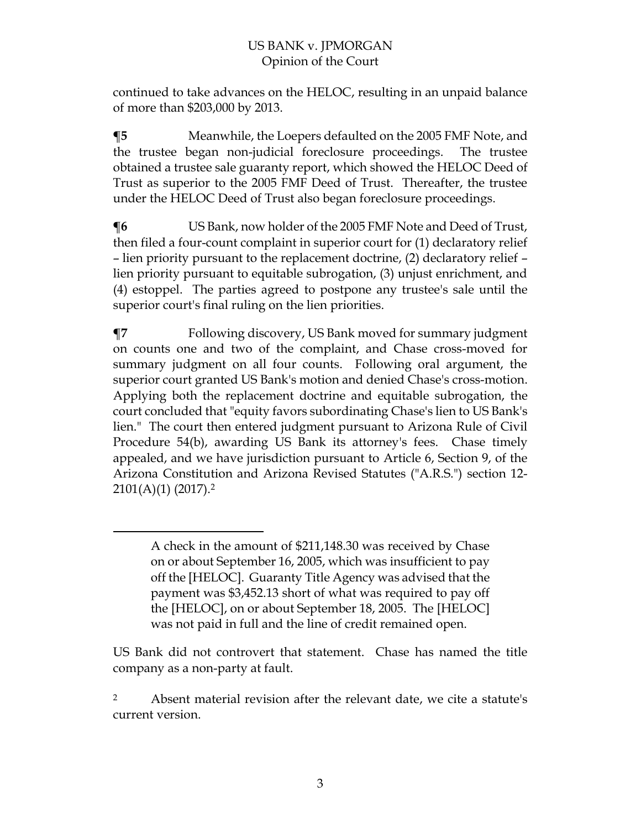continued to take advances on the HELOC, resulting in an unpaid balance of more than \$203,000 by 2013.

**¶5** Meanwhile, the Loepers defaulted on the 2005 FMF Note, and the trustee began non-judicial foreclosure proceedings. The trustee obtained a trustee sale guaranty report, which showed the HELOC Deed of Trust as superior to the 2005 FMF Deed of Trust. Thereafter, the trustee under the HELOC Deed of Trust also began foreclosure proceedings.

**¶6** US Bank, now holder of the 2005 FMF Note and Deed of Trust, then filed a four-count complaint in superior court for (1) declaratory relief – lien priority pursuant to the replacement doctrine, (2) declaratory relief – lien priority pursuant to equitable subrogation, (3) unjust enrichment, and (4) estoppel. The parties agreed to postpone any trustee's sale until the superior court's final ruling on the lien priorities.

**¶7** Following discovery, US Bank moved for summary judgment on counts one and two of the complaint, and Chase cross-moved for summary judgment on all four counts. Following oral argument, the superior court granted US Bank's motion and denied Chase's cross-motion. Applying both the replacement doctrine and equitable subrogation, the court concluded that "equity favors subordinating Chase's lien to US Bank's lien." The court then entered judgment pursuant to Arizona Rule of Civil Procedure 54(b), awarding US Bank its attorney's fees. Chase timely appealed, and we have jurisdiction pursuant to Article 6, Section 9, of the Arizona Constitution and Arizona Revised Statutes ("A.R.S.") section 12- 2101(A)(1) (2017). 2

 $\overline{a}$ 

US Bank did not controvert that statement. Chase has named the title company as a non-party at fault.

<sup>2</sup> Absent material revision after the relevant date, we cite a statute's current version.

A check in the amount of \$211,148.30 was received by Chase on or about September 16, 2005, which was insufficient to pay off the [HELOC]. Guaranty Title Agency was advised that the payment was \$3,452.13 short of what was required to pay off the [HELOC], on or about September 18, 2005. The [HELOC] was not paid in full and the line of credit remained open.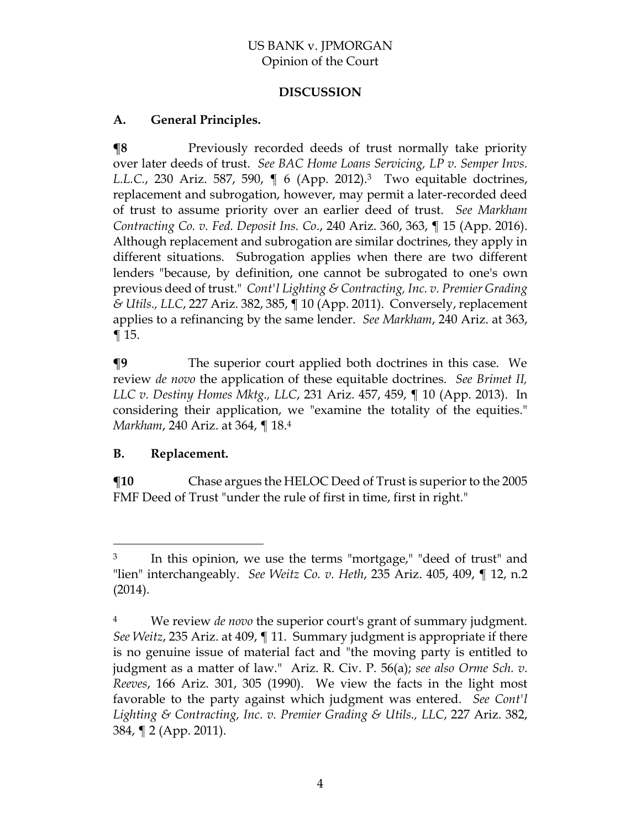## **DISCUSSION**

## **A. General Principles.**

**¶8** Previously recorded deeds of trust normally take priority over later deeds of trust. *See BAC Home Loans Servicing, LP v. Semper Invs. L.L.C.*, 230 Ariz. 587, 590, ¶ 6 (App. 2012). <sup>3</sup> Two equitable doctrines, replacement and subrogation, however, may permit a later-recorded deed of trust to assume priority over an earlier deed of trust. *See Markham Contracting Co. v. Fed. Deposit Ins. Co*., 240 Ariz. 360, 363, ¶ 15 (App. 2016). Although replacement and subrogation are similar doctrines, they apply in different situations. Subrogation applies when there are two different lenders "because, by definition, one cannot be subrogated to one's own previous deed of trust." *Cont'l Lighting & Contracting, Inc. v. Premier Grading & Utils., LLC*, 227 Ariz. 382, 385, ¶ 10 (App. 2011). Conversely, replacement applies to a refinancing by the same lender. *See Markham*, 240 Ariz. at 363, ¶ 15.

**¶9** The superior court applied both doctrines in this case. We review *de novo* the application of these equitable doctrines. *See Brimet II, LLC v. Destiny Homes Mktg., LLC*, 231 Ariz. 457, 459, ¶ 10 (App. 2013). In considering their application, we "examine the totality of the equities." *Markham*, 240 Ariz. at 364, ¶ 18. 4

## **B. Replacement.**

 $\overline{a}$ 

**¶10** Chase argues the HELOC Deed of Trust is superior to the 2005 FMF Deed of Trust "under the rule of first in time, first in right."

<sup>&</sup>lt;sup>3</sup> In this opinion, we use the terms "mortgage," "deed of trust" and "lien" interchangeably. *See Weitz Co. v. Heth*, 235 Ariz. 405, 409, ¶ 12, n.2 (2014).

<sup>4</sup> We review *de novo* the superior court's grant of summary judgment. *See Weitz*, 235 Ariz. at 409, ¶ 11. Summary judgment is appropriate if there is no genuine issue of material fact and "the moving party is entitled to judgment as a matter of law." Ariz. R. Civ. P. 56(a); *see also Orme Sch. v. Reeves*, 166 Ariz. 301, 305 (1990). We view the facts in the light most favorable to the party against which judgment was entered. *See Cont'l Lighting & Contracting, Inc. v. Premier Grading & Utils., LLC*, 227 Ariz. 382, 384, ¶ 2 (App. 2011).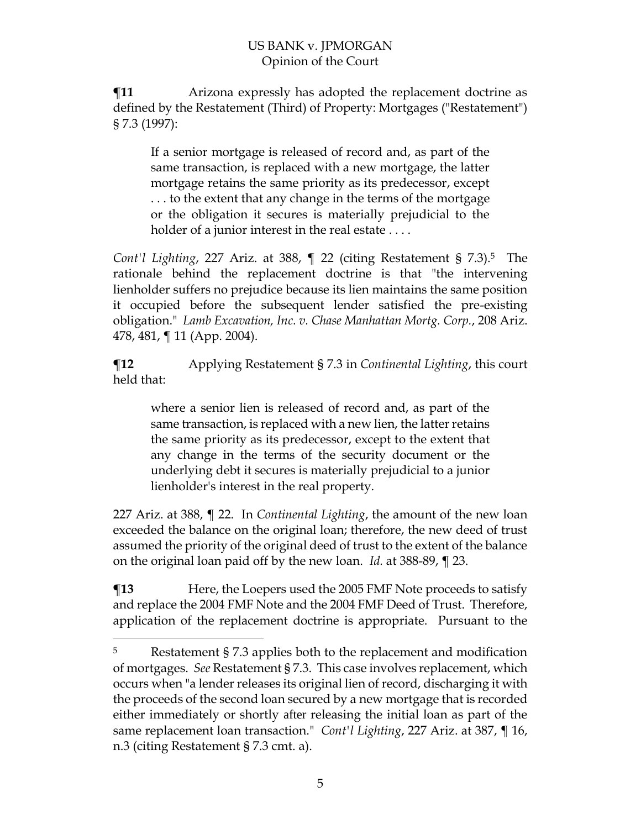**¶11** Arizona expressly has adopted the replacement doctrine as defined by the Restatement (Third) of Property: Mortgages ("Restatement") § 7.3 (1997):

If a senior mortgage is released of record and, as part of the same transaction, is replaced with a new mortgage, the latter mortgage retains the same priority as its predecessor, except . . . to the extent that any change in the terms of the mortgage or the obligation it secures is materially prejudicial to the holder of a junior interest in the real estate ....

*Cont'l Lighting*, 227 Ariz. at 388, ¶ 22 (citing Restatement § 7.3).<sup>5</sup> The rationale behind the replacement doctrine is that "the intervening lienholder suffers no prejudice because its lien maintains the same position it occupied before the subsequent lender satisfied the pre-existing obligation." *Lamb Excavation, Inc. v. Chase Manhattan Mortg. Corp.*, 208 Ariz. 478, 481, ¶ 11 (App. 2004).

**¶12** Applying Restatement § 7.3 in *Continental Lighting*, this court held that:

where a senior lien is released of record and, as part of the same transaction, is replaced with a new lien, the latter retains the same priority as its predecessor, except to the extent that any change in the terms of the security document or the underlying debt it secures is materially prejudicial to a junior lienholder's interest in the real property.

227 Ariz. at 388, ¶ 22. In *Continental Lighting*, the amount of the new loan exceeded the balance on the original loan; therefore, the new deed of trust assumed the priority of the original deed of trust to the extent of the balance on the original loan paid off by the new loan. *Id.* at 388-89, ¶ 23.

**¶13** Here, the Loepers used the 2005 FMF Note proceeds to satisfy and replace the 2004 FMF Note and the 2004 FMF Deed of Trust. Therefore, application of the replacement doctrine is appropriate.Pursuant to the

 $\overline{a}$ 

<sup>5</sup> Restatement § 7.3 applies both to the replacement and modification of mortgages. *See* Restatement § 7.3. This case involves replacement, which occurs when "a lender releases its original lien of record, discharging it with the proceeds of the second loan secured by a new mortgage that is recorded either immediately or shortly after releasing the initial loan as part of the same replacement loan transaction." *Cont'l Lighting*, 227 Ariz. at 387, ¶ 16, n.3 (citing Restatement § 7.3 cmt. a).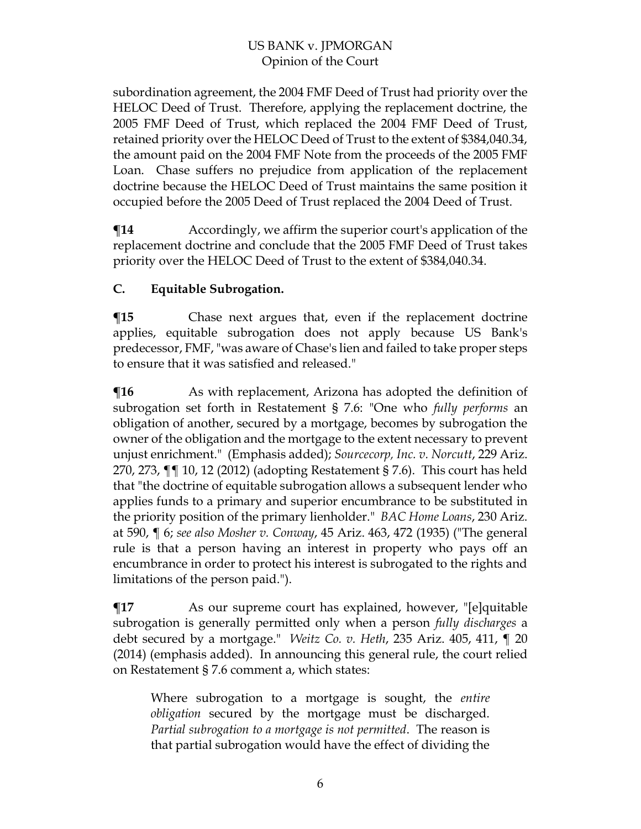subordination agreement, the 2004 FMF Deed of Trust had priority over the HELOC Deed of Trust. Therefore, applying the replacement doctrine, the 2005 FMF Deed of Trust, which replaced the 2004 FMF Deed of Trust, retained priority over the HELOC Deed of Trust to the extent of \$384,040.34, the amount paid on the 2004 FMF Note from the proceeds of the 2005 FMF Loan. Chase suffers no prejudice from application of the replacement doctrine because the HELOC Deed of Trust maintains the same position it occupied before the 2005 Deed of Trust replaced the 2004 Deed of Trust.

 $\P$ **14** Accordingly, we affirm the superior court's application of the replacement doctrine and conclude that the 2005 FMF Deed of Trust takes priority over the HELOC Deed of Trust to the extent of \$384,040.34.

## **C. Equitable Subrogation.**

**¶15** Chase next argues that, even if the replacement doctrine applies, equitable subrogation does not apply because US Bank's predecessor, FMF, "was aware of Chase's lien and failed to take proper steps to ensure that it was satisfied and released."

**The** As with replacement, Arizona has adopted the definition of subrogation set forth in Restatement § 7.6: "One who *fully performs* an obligation of another, secured by a mortgage, becomes by subrogation the owner of the obligation and the mortgage to the extent necessary to prevent unjust enrichment." (Emphasis added); *Sourcecorp, Inc. v. Norcutt*, 229 Ariz. 270, 273, ¶¶ 10, 12 (2012) (adopting Restatement § 7.6). This court has held that "the doctrine of equitable subrogation allows a subsequent lender who applies funds to a primary and superior encumbrance to be substituted in the priority position of the primary lienholder." *BAC Home Loans*, 230 Ariz. at 590, ¶ 6; *see also Mosher v. Conway*, 45 Ariz. 463, 472 (1935) ("The general rule is that a person having an interest in property who pays off an encumbrance in order to protect his interest is subrogated to the rights and limitations of the person paid.").

**¶17** As our supreme court has explained, however, "[e]quitable subrogation is generally permitted only when a person *fully discharges* a debt secured by a mortgage." *Weitz Co. v. Heth*, 235 Ariz. 405, 411, ¶ 20 (2014) (emphasis added). In announcing this general rule, the court relied on Restatement § 7.6 comment a, which states:

Where subrogation to a mortgage is sought, the *entire obligation* secured by the mortgage must be discharged. *Partial subrogation to a mortgage is not permitted*. The reason is that partial subrogation would have the effect of dividing the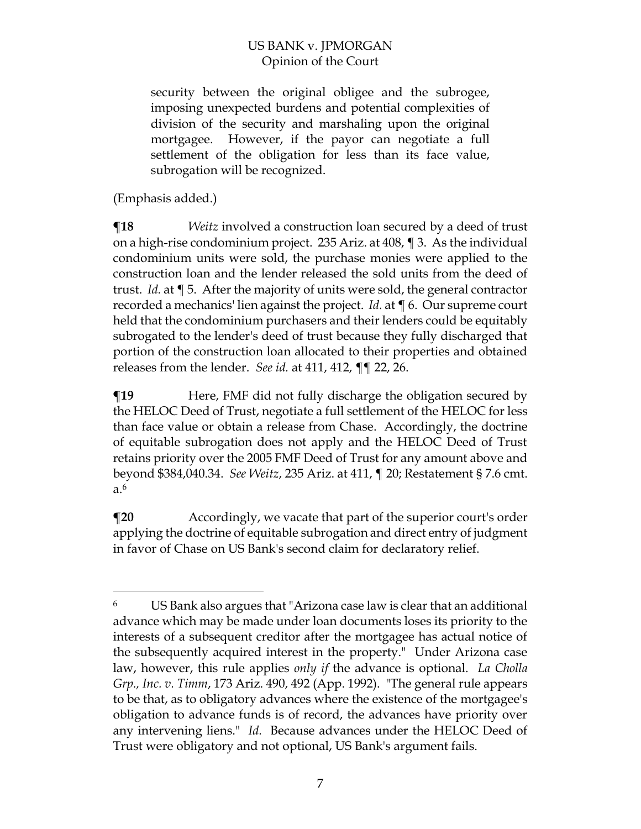security between the original obligee and the subrogee, imposing unexpected burdens and potential complexities of division of the security and marshaling upon the original mortgagee. However, if the payor can negotiate a full settlement of the obligation for less than its face value, subrogation will be recognized.

(Emphasis added.)

 $\overline{a}$ 

**¶18** *Weitz* involved a construction loan secured by a deed of trust on a high-rise condominium project. 235 Ariz. at 408, ¶ 3. As the individual condominium units were sold, the purchase monies were applied to the construction loan and the lender released the sold units from the deed of trust. *Id.* at ¶ 5. After the majority of units were sold, the general contractor recorded a mechanics' lien against the project. *Id.* at ¶ 6. Our supreme court held that the condominium purchasers and their lenders could be equitably subrogated to the lender's deed of trust because they fully discharged that portion of the construction loan allocated to their properties and obtained releases from the lender. *See id.* at 411, 412, ¶¶ 22, 26.

**There, FMF** did not fully discharge the obligation secured by the HELOC Deed of Trust, negotiate a full settlement of the HELOC for less than face value or obtain a release from Chase. Accordingly, the doctrine of equitable subrogation does not apply and the HELOC Deed of Trust retains priority over the 2005 FMF Deed of Trust for any amount above and beyond \$384,040.34. *See Weitz*, 235 Ariz. at 411, ¶ 20; Restatement § 7.6 cmt. a.<sup>6</sup>

**¶20** Accordingly, we vacate that part of the superior court's order applying the doctrine of equitable subrogation and direct entry of judgment in favor of Chase on US Bank's second claim for declaratory relief.

<sup>6</sup> US Bank also argues that "Arizona case law is clear that an additional advance which may be made under loan documents loses its priority to the interests of a subsequent creditor after the mortgagee has actual notice of the subsequently acquired interest in the property." Under Arizona case law, however, this rule applies *only if* the advance is optional. *La Cholla Grp., Inc. v. Timm*, 173 Ariz. 490, 492 (App. 1992). "The general rule appears to be that, as to obligatory advances where the existence of the mortgagee's obligation to advance funds is of record, the advances have priority over any intervening liens." *Id.* Because advances under the HELOC Deed of Trust were obligatory and not optional, US Bank's argument fails.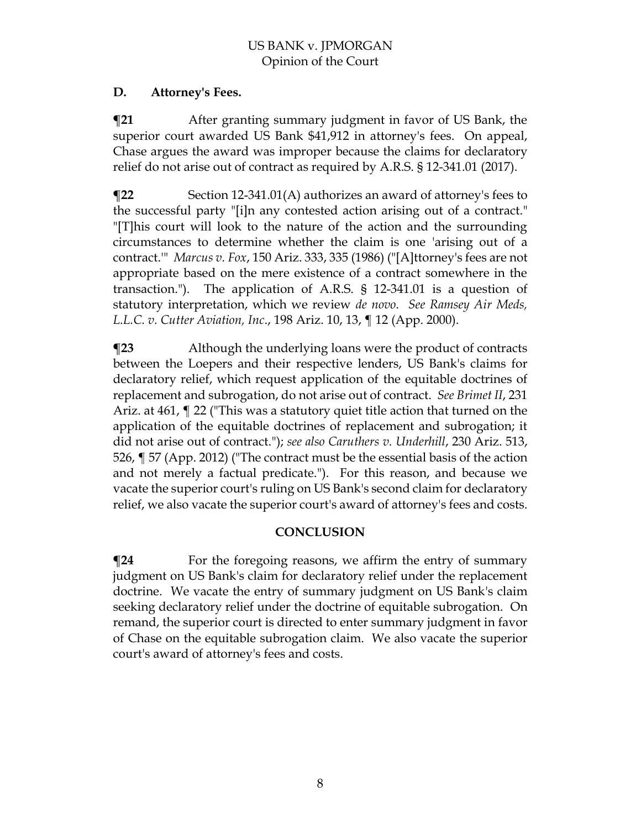## **D. Attorney's Fees.**

**¶21** After granting summary judgment in favor of US Bank, the superior court awarded US Bank \$41,912 in attorney's fees. On appeal, Chase argues the award was improper because the claims for declaratory relief do not arise out of contract as required by A.R.S. § 12-341.01 (2017).

**¶22** Section 12-341.01(A) authorizes an award of attorney's fees to the successful party "[i]n any contested action arising out of a contract." "[T]his court will look to the nature of the action and the surrounding circumstances to determine whether the claim is one 'arising out of a contract.'" *Marcus v. Fox*, 150 Ariz. 333, 335 (1986) ("[A]ttorney's fees are not appropriate based on the mere existence of a contract somewhere in the transaction."). The application of A.R.S. § 12-341.01 is a question of statutory interpretation, which we review *de novo*. *See Ramsey Air Meds, L.L.C. v. Cutter Aviation, Inc*., 198 Ariz. 10, 13, ¶ 12 (App. 2000).

**¶23** Although the underlying loans were the product of contracts between the Loepers and their respective lenders, US Bank's claims for declaratory relief, which request application of the equitable doctrines of replacement and subrogation, do not arise out of contract. *See Brimet II*, 231 Ariz. at 461, ¶ 22 ("This was a statutory quiet title action that turned on the application of the equitable doctrines of replacement and subrogation; it did not arise out of contract."); *see also Caruthers v. Underhill*, 230 Ariz. 513, 526, ¶ 57 (App. 2012) ("The contract must be the essential basis of the action and not merely a factual predicate."). For this reason, and because we vacate the superior court's ruling on US Bank's second claim for declaratory relief, we also vacate the superior court's award of attorney's fees and costs.

## **CONCLUSION**

 $\P$ **24** For the foregoing reasons, we affirm the entry of summary judgment on US Bank's claim for declaratory relief under the replacement doctrine. We vacate the entry of summary judgment on US Bank's claim seeking declaratory relief under the doctrine of equitable subrogation. On remand, the superior court is directed to enter summary judgment in favor of Chase on the equitable subrogation claim. We also vacate the superior court's award of attorney's fees and costs.